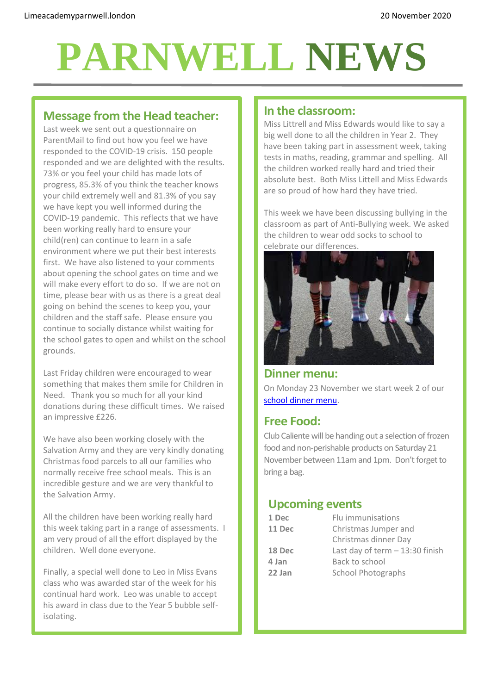# **PARNWELL NEWS**

### **Message from the Head teacher:**

Last week we sent out a questionnaire on ParentMail to find out how you feel we have responded to the COVID-19 crisis. 150 people responded and we are delighted with the results. 73% or you feel your child has made lots of progress, 85.3% of you think the teacher knows your child extremely well and 81.3% of you say we have kept you well informed during the COVID-19 pandemic. This reflects that we have been working really hard to ensure your child(ren) can continue to learn in a safe environment where we put their best interests first. We have also listened to your comments about opening the school gates on time and we will make every effort to do so. If we are not on time, please bear with us as there is a great deal going on behind the scenes to keep you, your children and the staff safe. Please ensure you continue to socially distance whilst waiting for the school gates to open and whilst on the school grounds.

Last Friday children were encouraged to wear something that makes them smile for Children in Need. Thank you so much for all your kind donations during these difficult times. We raised an impressive £226.

We have also been working closely with the Salvation Army and they are very kindly donating Christmas food parcels to all our families who normally receive free school meals. This is an incredible gesture and we are very thankful to the Salvation Army.

All the children have been working really hard this week taking part in a range of assessments. I am very proud of all the effort displayed by the children. Well done everyone.

Finally, a special well done to Leo in Miss Evans class who was awarded star of the week for his continual hard work. Leo was unable to accept his award in class due to the Year 5 bubble selfisolating.

### **In the classroom:**

Miss Littrell and Miss Edwards would like to say a big well done to all the children in Year 2. They have been taking part in assessment week, taking tests in maths, reading, grammar and spelling. All the children worked really hard and tried their absolute best. Both Miss Littell and Miss Edwards are so proud of how hard they have tried.

This week we have been discussing bullying in the classroom as part of Anti-Bullying week. We asked the children to wear odd socks to school to celebrate our differences.



#### **Dinner menu:**

On Monday 23 November we start week 2 of our [school dinner menu.](http://limeacademyparnwell.london/media/3932/dinner-menu-2020-09-18.pdf)

### **Free Food:**

Club Caliente will be handing out a selection of frozen food and non-perishable products on Saturday 21 November between 11am and 1pm. Don't forget to bring a bag.

### **Upcoming events**

| 1 Dec  | Flu immunisations                |
|--------|----------------------------------|
| 11 Dec | Christmas Jumper and             |
|        | Christmas dinner Day             |
| 18 Dec | Last day of term $-13:30$ finish |
| 4 Jan  | Back to school                   |
| 22 Jan | <b>School Photographs</b>        |
|        |                                  |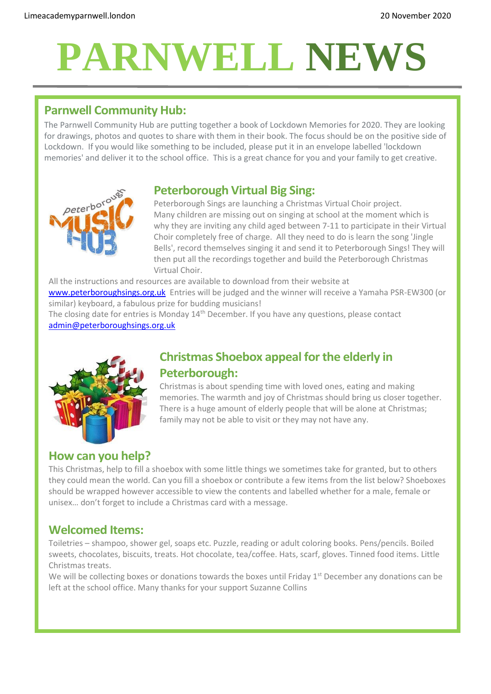# **PARNWELL NEWS**

## **Parnwell Community Hub:**

The Parnwell Community Hub are putting together a book of Lockdown Memories for 2020. They are looking for drawings, photos and quotes to share with them in their book. The focus should be on the positive side of Lockdown. If you would like something to be included, please put it in an envelope labelled 'lockdown memories' and deliver it to the school office. This is a great chance for you and your family to get creative.





Peterborough Sings are launching a Christmas Virtual Choir project. Many children are missing out on singing at school at the moment which is why they are inviting any child aged between 7-11 to participate in their Virtual Choir completely free of charge. All they need to do is learn the song 'Jingle Bells', record themselves singing it and send it to Peterborough Sings! They will then put all the recordings together and build the Peterborough Christmas Virtual Choir.

All the instructions and resources are available to download from their website at [www.peterboroughsings.org.uk](http://www.peterboroughsings.org.uk/) Entries will be judged and the winner will receive a Yamaha PSR-EW300 (or similar) keyboard, a fabulous prize for budding musicians!

The closing date for entries is Monday 14<sup>th</sup> December. If you have any questions, please contact [admin@peterboroughsings.org.uk](mailto:admin@peterboroughsings.org.uk)



## **Christmas Shoebox appeal for the elderly in Peterborough:**

Christmas is about spending time with loved ones, eating and making memories. The warmth and joy of Christmas should bring us closer together. There is a huge amount of elderly people that will be alone at Christmas; family may not be able to visit or they may not have any.

### **How can you help?**

This Christmas, help to fill a shoebox with some little things we sometimes take for granted, but to others they could mean the world. Can you fill a shoebox or contribute a few items from the list below? Shoeboxes should be wrapped however accessible to view the contents and labelled whether for a male, female or unisex… don't forget to include a Christmas card with a message.

#### **Welcomed Items:**

Toiletries – shampoo, shower gel, soaps etc. Puzzle, reading or adult coloring books. Pens/pencils. Boiled sweets, chocolates, biscuits, treats. Hot chocolate, tea/coffee. Hats, scarf, gloves. Tinned food items. Little Christmas treats.

We will be collecting boxes or donations towards the boxes until Friday  $1<sup>st</sup>$  December any donations can be left at the school office. Many thanks for your support Suzanne Collins